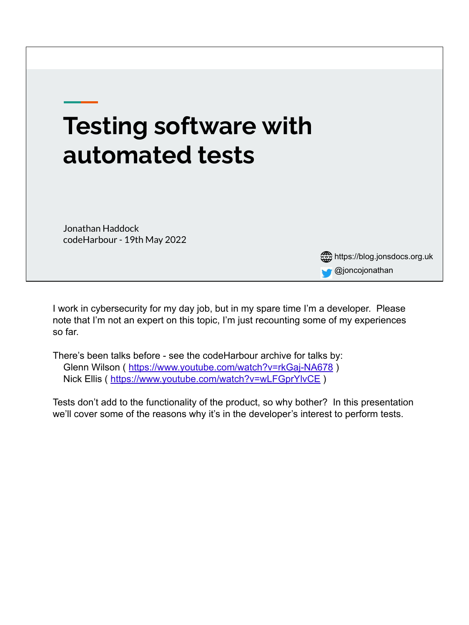

I work in cybersecurity for my day job, but in my spare time I'm a developer. Please note that I'm not an expert on this topic, I'm just recounting some of my experiences so far.

There's been talks before - see the codeHarbour archive for talks by: Glenn Wilson (<https://www.youtube.com/watch?v=rkGaj-NA678>) Nick Ellis (<https://www.youtube.com/watch?v=wLFGprYlvCE>)

Tests don't add to the functionality of the product, so why bother? In this presentation we'll cover some of the reasons why it's in the developer's interest to perform tests.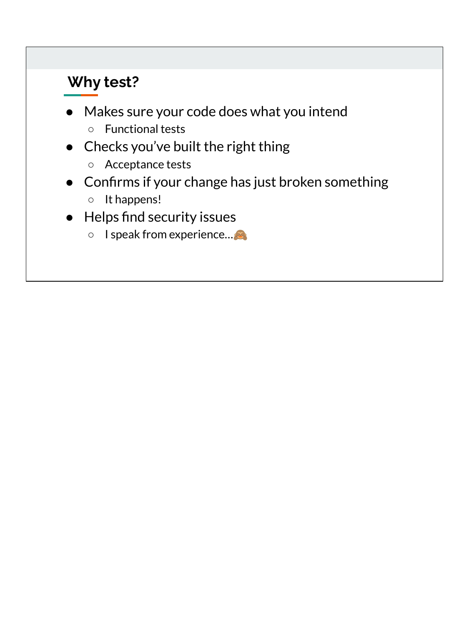### **Why test?**

- Makes sure your code does what you intend
	- Functional tests
- Checks you've built the right thing
	- Acceptance tests
- Confirms if your change has just broken something
	- It happens!
- Helps find security issues
	- I speak from experience....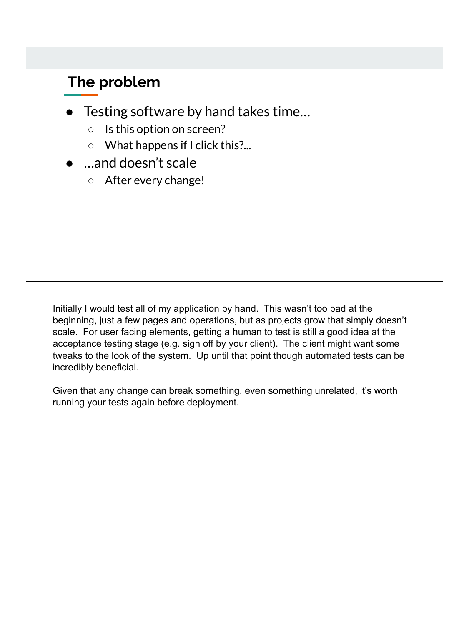#### **The problem**

- Testing software by hand takes time...
	- Is this option on screen?
	- What happens if I click this?...
- ...and doesn't scale
	- After every change!

Initially I would test all of my application by hand. This wasn't too bad at the beginning, just a few pages and operations, but as projects grow that simply doesn't scale. For user facing elements, getting a human to test is still a good idea at the acceptance testing stage (e.g. sign off by your client). The client might want some tweaks to the look of the system. Up until that point though automated tests can be incredibly beneficial.

Given that any change can break something, even something unrelated, it's worth running your tests again before deployment.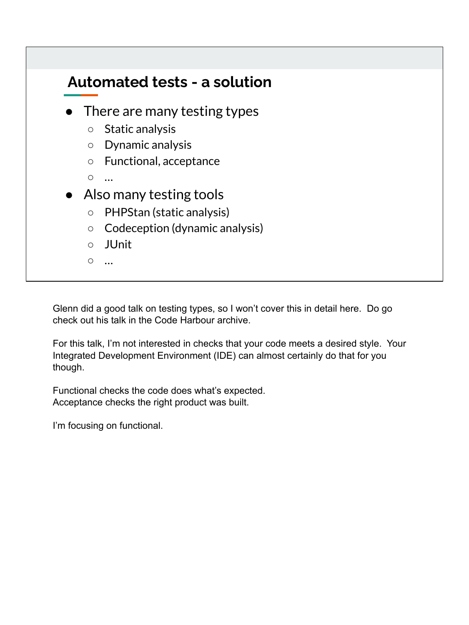

Glenn did a good talk on testing types, so I won't cover this in detail here. Do go check out his talk in the Code Harbour archive.

For this talk, I'm not interested in checks that your code meets a desired style. Your Integrated Development Environment (IDE) can almost certainly do that for you though.

Functional checks the code does what's expected. Acceptance checks the right product was built.

I'm focusing on functional.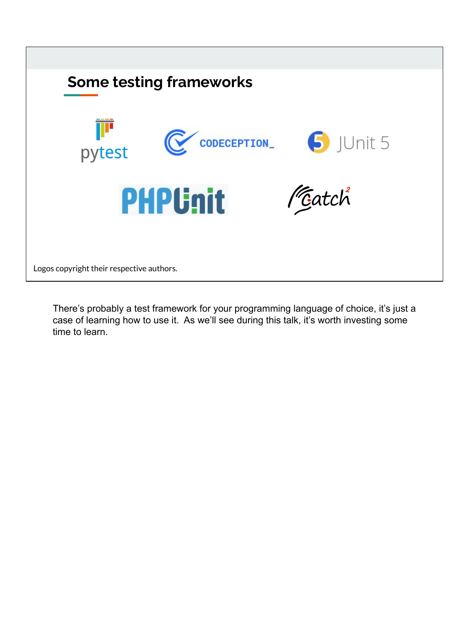

There's probably a test framework for your programming language of choice, it's just a case of learning how to use it. As we'll see during this talk, it's worth investing some time to learn.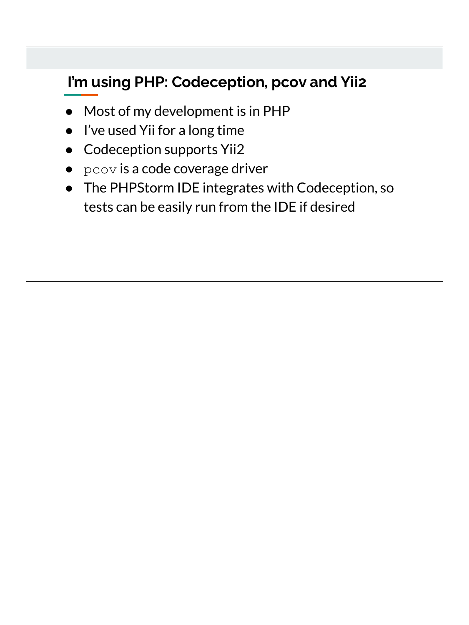## **I'm using PHP: Codeception, pcov and Yii2**

- Most of my development is in PHP
- I've used Yii for a long time
- Codeception supports Yii2
- $\bullet$  pcov is a code coverage driver
- The PHPStorm IDE integrates with Codeception, so tests can be easily run from the IDE if desired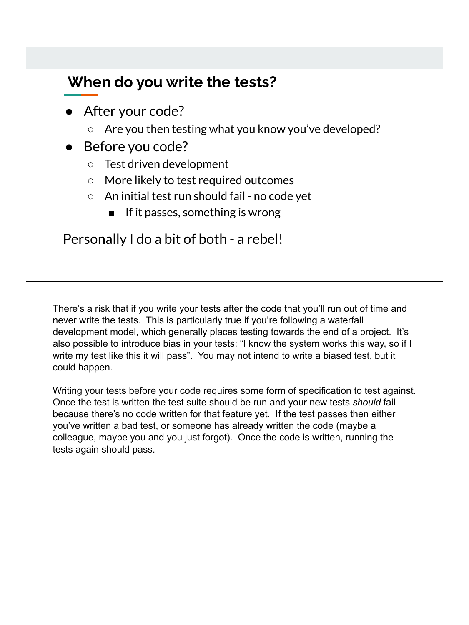#### **When do you write the tests?**

- After your code?
	- Are you then testing what you know you've developed?
- Before you code?
	- Test driven development
	- More likely to test required outcomes
	- An initial test run should fail no code yet
		- If it passes, something is wrong

Personally I do a bit of both - a rebel!

There's a risk that if you write your tests after the code that you'll run out of time and never write the tests. This is particularly true if you're following a waterfall development model, which generally places testing towards the end of a project. It's also possible to introduce bias in your tests: "I know the system works this way, so if I write my test like this it will pass". You may not intend to write a biased test, but it could happen.

Writing your tests before your code requires some form of specification to test against. Once the test is written the test suite should be run and your new tests *should* fail because there's no code written for that feature yet. If the test passes then either you've written a bad test, or someone has already written the code (maybe a colleague, maybe you and you just forgot). Once the code is written, running the tests again should pass.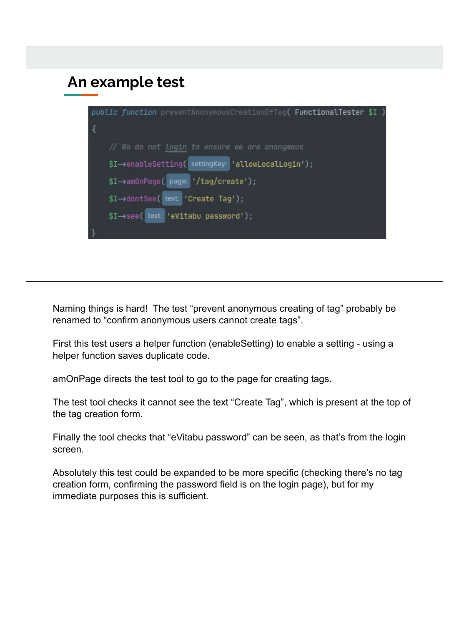

Naming things is hard! The test "prevent anonymous creating of tag" probably be renamed to "confirm anonymous users cannot create tags".

First this test users a helper function (enableSetting) to enable a setting - using a helper function saves duplicate code.

amOnPage directs the test tool to go to the page for creating tags.

The test tool checks it cannot see the text "Create Tag", which is present at the top of the tag creation form.

Finally the tool checks that "eVitabu password" can be seen, as that's from the login screen.

Absolutely this test could be expanded to be more specific (checking there's no tag creation form, confirming the password field is on the login page), but for my immediate purposes this is sufficient.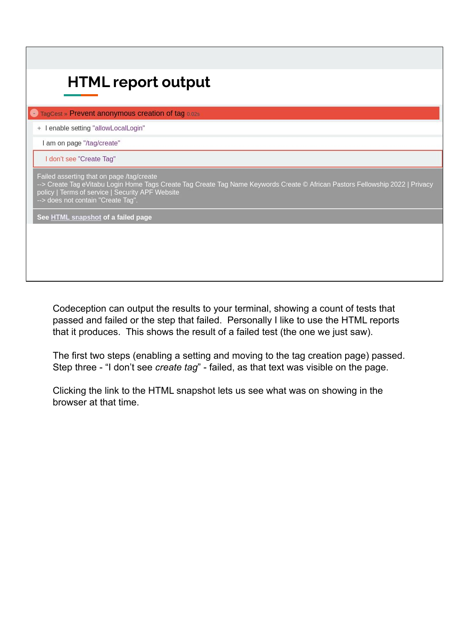| <b>E</b> TagCest » Prevent anonymous creation of tag 0.02s                                                                          |                                                                                                                               |
|-------------------------------------------------------------------------------------------------------------------------------------|-------------------------------------------------------------------------------------------------------------------------------|
| + I enable setting "allowLocalLogin"                                                                                                |                                                                                                                               |
| I am on page "/tag/create"                                                                                                          |                                                                                                                               |
| I don't see "Create Tag"                                                                                                            |                                                                                                                               |
| Failed asserting that on page /tag/create<br>policy   Terms of service   Security APF Website<br>--> does not contain "Create Tag". | --> Create Tag eVitabu Login Home Tags Create Tag Create Tag Name Keywords Create © African Pastors Fellowship 2022   Privacy |
| See HTML snapshot of a failed page                                                                                                  |                                                                                                                               |

Codeception can output the results to your terminal, showing a count of tests that passed and failed or the step that failed. Personally I like to use the HTML reports that it produces. This shows the result of a failed test (the one we just saw).

The first two steps (enabling a setting and moving to the tag creation page) passed. Step three - "I don't see *create tag*" - failed, as that text was visible on the page.

Clicking the link to the HTML snapshot lets us see what was on showing in the browser at that time.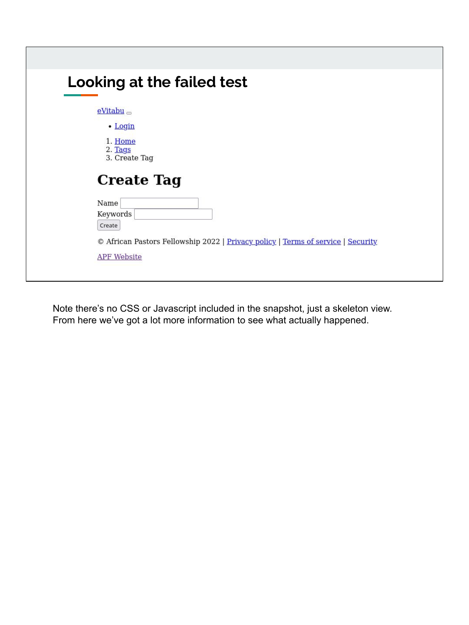| <b>Looking at the failed test</b>                                                |
|----------------------------------------------------------------------------------|
| $eV$ itabu $\Box$                                                                |
| • Login                                                                          |
| 1. Home<br>2. Tags<br>3. Create Tag                                              |
| <b>Create Tag</b>                                                                |
| Name                                                                             |
| Keywords                                                                         |
| Create                                                                           |
| © African Pastors Fellowship 2022   Privacy policy   Terms of service   Security |
|                                                                                  |

Note there's no CSS or Javascript included in the snapshot, just a skeleton view. From here we've got a lot more information to see what actually happened.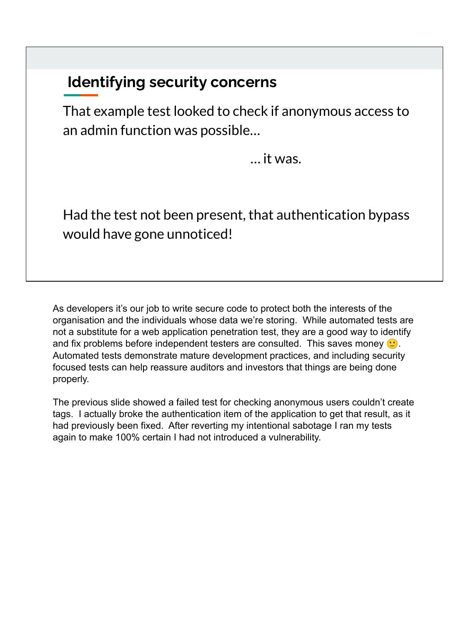#### **Identifying security concerns**

That example test looked to check if anonymous access to an admin function was possible…

… it was.

Had the test not been present, that authentication bypass would have gone unnoticed!

As developers it's our job to write secure code to protect both the interests of the organisation and the individuals whose data we're storing. While automated tests are not a substitute for a web application penetration test, they are a good way to identify and fix problems before independent testers are consulted. This saves money  $\langle \cdot \rangle$ . Automated tests demonstrate mature development practices, and including security focused tests can help reassure auditors and investors that things are being done properly.

The previous slide showed a failed test for checking anonymous users couldn't create tags. I actually broke the authentication item of the application to get that result, as it had previously been fixed. After reverting my intentional sabotage I ran my tests again to make 100% certain I had not introduced a vulnerability.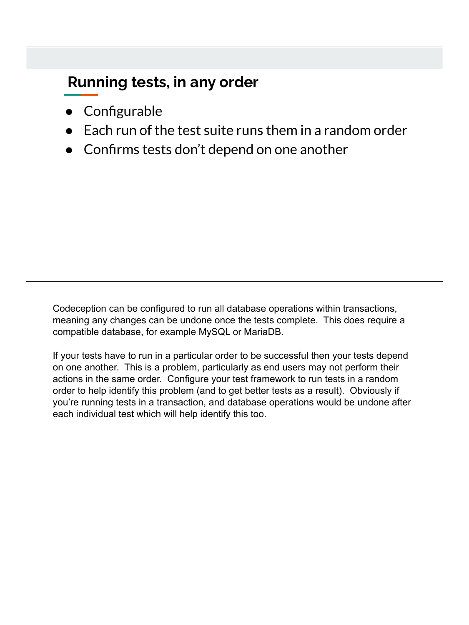### **Running tests, in any order**

- Configurable
- $\bullet$  Each run of the test suite runs them in a random order
- Confirms tests don't depend on one another

Codeception can be configured to run all database operations within transactions, meaning any changes can be undone once the tests complete. This does require a compatible database, for example MySQL or MariaDB.

If your tests have to run in a particular order to be successful then your tests depend on one another. This is a problem, particularly as end users may not perform their actions in the same order. Configure your test framework to run tests in a random order to help identify this problem (and to get better tests as a result). Obviously if you're running tests in a transaction, and database operations would be undone after each individual test which will help identify this too.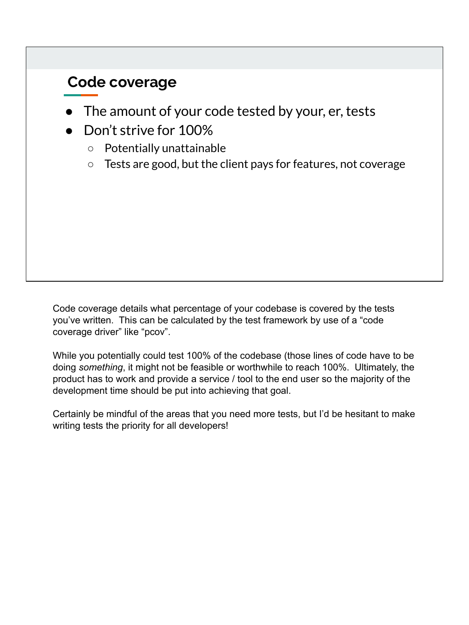#### **Code coverage**

- The amount of your code tested by your, er, tests
- Don't strive for 100%
	- Potentially unattainable
	- Tests are good, but the client pays for features, not coverage

Code coverage details what percentage of your codebase is covered by the tests you've written. This can be calculated by the test framework by use of a "code coverage driver" like "pcov".

While you potentially could test 100% of the codebase (those lines of code have to be doing *something*, it might not be feasible or worthwhile to reach 100%. Ultimately, the product has to work and provide a service / tool to the end user so the majority of the development time should be put into achieving that goal.

Certainly be mindful of the areas that you need more tests, but I'd be hesitant to make writing tests the priority for all developers!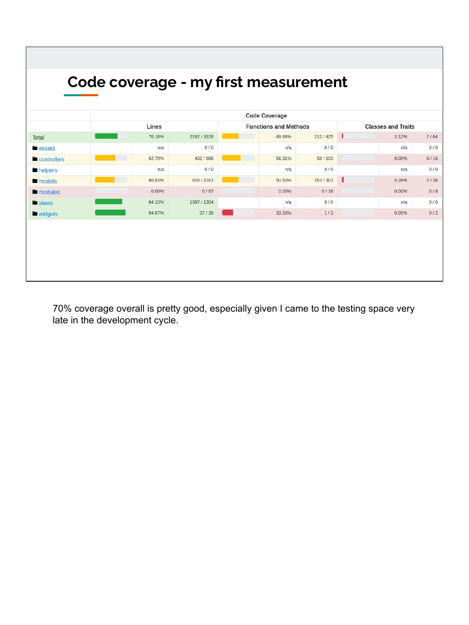|                    | <b>Code Coverage</b> |           |                              |         |                           |       |      |  |  |
|--------------------|----------------------|-----------|------------------------------|---------|---------------------------|-------|------|--|--|
|                    | Lines                |           | <b>Functions and Methods</b> |         | <b>Classes and Traits</b> |       |      |  |  |
| Total              | 70.18%               | 2182/3109 | 49.88%                       | 212/425 |                           | 3.12% | 2/64 |  |  |
| assets             | n/a                  | 0/0       | n/a                          | 0/0     |                           | n/a   | 0/0  |  |  |
| <b>Controllers</b> | 62.79%               | 432/688   | 56.31%                       | 58/103  |                           | 0.00% | 0/16 |  |  |
| helpers            | n/a                  | 0/0       | n/a                          | 0/0     |                           | n/a   | 0/0  |  |  |
| models             | 60,93%               | 616/1011  | 50,50%                       | 153/303 |                           | 5.26% | 2/38 |  |  |
| modules            | 0.00%                | 0/67      | 0.00%                        | 0/16    |                           | 0.00% | 0/8  |  |  |
| <b>u</b> views     | 84.13%               | 1097/1304 | n/a                          | 0/0     |                           | n/a   | 0/0  |  |  |
| <b>Widgets</b>     | 94.87%               | 37/39     | 33.33%                       | 1/3     |                           | 0.00% | 0/2  |  |  |

70% coverage overall is pretty good, especially given I came to the testing space very late in the development cycle.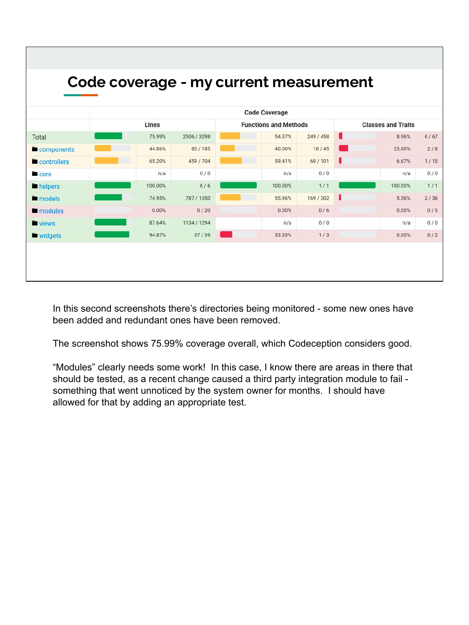| Code coverage - my current measurement |                      |             |                              |                           |   |         |      |  |  |  |  |
|----------------------------------------|----------------------|-------------|------------------------------|---------------------------|---|---------|------|--|--|--|--|
|                                        | <b>Code Coverage</b> |             |                              |                           |   |         |      |  |  |  |  |
|                                        | Lines                |             | <b>Functions and Methods</b> | <b>Classes and Traits</b> |   |         |      |  |  |  |  |
| Total                                  | 75.99%               | 2506 / 3298 | 54.37%                       | 249 / 458                 |   | 8.96%   | 6/67 |  |  |  |  |
| components                             | 44.86%               | 83/185      | 40.00%                       | 18/45                     |   | 25.00%  | 2/8  |  |  |  |  |
| controllers                            | 65.20%               | 459 / 704   | 59.41%                       | 60/101                    | ı | 6.67%   | 1/15 |  |  |  |  |
| core                                   | n/a                  | 0/0         | n/a                          | 0/0                       |   | n/a     | 0/0  |  |  |  |  |
| helpers                                | 100.00%              | 6/6         | 100.00%                      | 1/1                       |   | 100.00% | 1/1  |  |  |  |  |
| models                                 | 74.95%               | 787/1050    | 55.96%                       | 169/302                   | u | 5.56%   | 2/36 |  |  |  |  |
| modules                                | 0.00%                | 0/20        | 0.00%                        | 0/6                       |   | 0.00%   | 0/5  |  |  |  |  |
| <b>views</b>                           | 87.64%               | 1134 / 1294 | n/a                          | 0/0                       |   | n/a     | 0/0  |  |  |  |  |
| <b>Widgets</b>                         | 94.87%               | 37/39       | 33.33%                       | 1/3                       |   | 0.00%   | 0/2  |  |  |  |  |

In this second screenshots there's directories being monitored - some new ones have been added and redundant ones have been removed.

The screenshot shows 75.99% coverage overall, which Codeception considers good.

"Modules" clearly needs some work! In this case, I know there are areas in there that should be tested, as a recent change caused a third party integration module to fail something that went unnoticed by the system owner for months. I should have allowed for that by adding an appropriate test.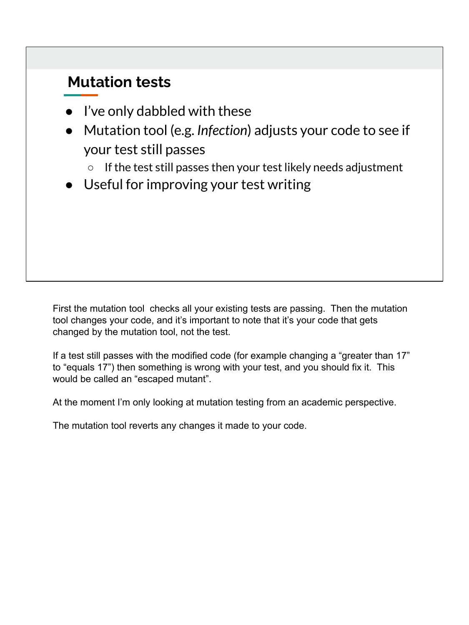#### **Mutation tests**

- I've only dabbled with these
- Mutation tool (e.g. *Infection*) adjusts your code to see if your test still passes
	- If the test still passes then your test likely needs adjustment
- Useful for improving your test writing

First the mutation tool checks all your existing tests are passing. Then the mutation tool changes your code, and it's important to note that it's your code that gets changed by the mutation tool, not the test.

If a test still passes with the modified code (for example changing a "greater than 17" to "equals 17") then something is wrong with your test, and you should fix it. This would be called an "escaped mutant".

At the moment I'm only looking at mutation testing from an academic perspective.

The mutation tool reverts any changes it made to your code.